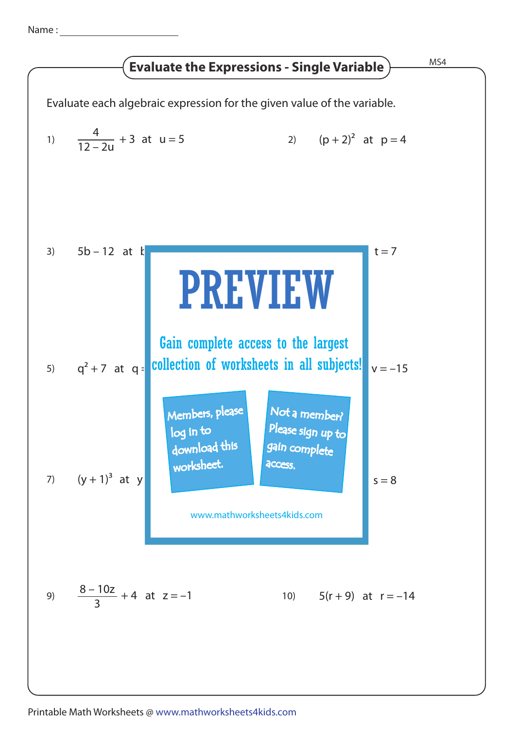